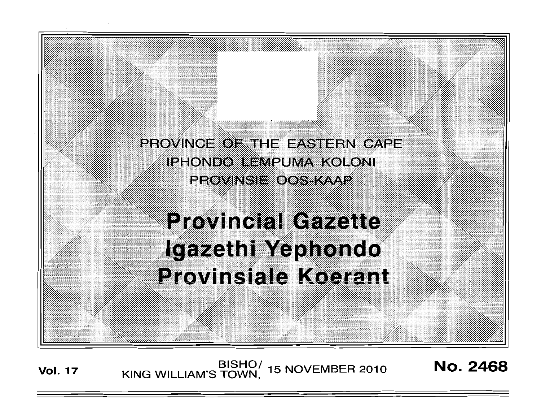PROVINCE OF THE EASTERN CAPE IPHONDO EEMPUMA KOLONI **PROVINSIE OOSTAALP** 

, , :'

, :: '

# **Provincial Gazette** Igazeth Yephondo Provinsiale Koerant

**Vol. 17 EISHO** BISHOI 15 NOVEMBER 2010 **No. 2468**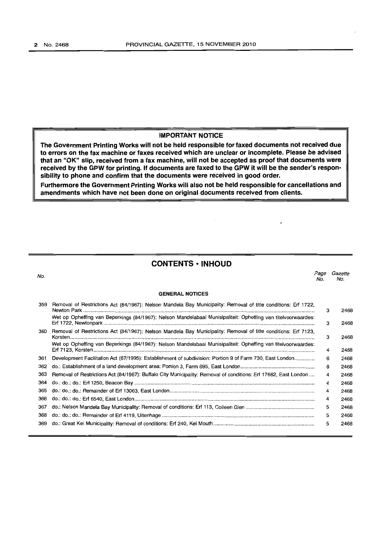## **IMPORTANT NOTICE**

**The Government Printing Works will not be held responsible for faxed documents not received due to errors on the fax machine or faxes received which are unclear or incomplete. Please be advised that an "OK" slip, received from a fax machine, will not be accepted as proof that documents were received by the GPW for printing. If documents are faxed to the GPW It will be the sender's responsibility to phone and confirm that the documents were received in good order.** 

**Furthermore the Government Printing Works will also not be held responsible for cancellations and amendments which have not been done on original documents received from clients.** 

# **CONTENTS • INHOUD**

| No. |                                                                                                                 | Page<br>No. | Gazette<br>No. |
|-----|-----------------------------------------------------------------------------------------------------------------|-------------|----------------|
|     | <b>GENERAL NOTICES</b>                                                                                          |             |                |
| 359 | Removal of Restrictions Act (84/1967): Nelson Mandela Bay Municipality: Removal of title conditions: Erf 1722,  | 3           | 2468           |
|     | Wet op Opheffing van Beperkings (84/1967): Nelson Mandelabaai Munisipaliteit: Opheffing van titelvoorwaardes:   | з           | 2468           |
| 360 | Removal of Restrictions Act (84/1967): Nelson Mandela Bay Municipality: Removal of title conditions: Erf 7123,  | з           | 2468           |
|     | Wet op Opheffing van Beperkings (84/1967): Nelson Mandelabaai Munisipaliteit: Opheffing van titelvoorwaardes:   | 4           | 2468           |
| 361 | Development Facilitation Act (67/1995): Establishment of subdivision: Portion 9 of Farm 730, East London        | 6           | 2468           |
| 362 |                                                                                                                 | 8           | 2468           |
| 363 | Removal of Restrictions Act (84/1967): Buffalo City Municipality: Removal of conditions: Erf 17662, East London | 4           | 2468           |
| 364 |                                                                                                                 | 4           | 2468           |
| 365 |                                                                                                                 | 4           | 2468           |
| 366 |                                                                                                                 | 4           | 2468           |
| 367 |                                                                                                                 | 5           | 2468           |
| 368 |                                                                                                                 | 5           | 2468           |
| 369 |                                                                                                                 | 5           | 2468           |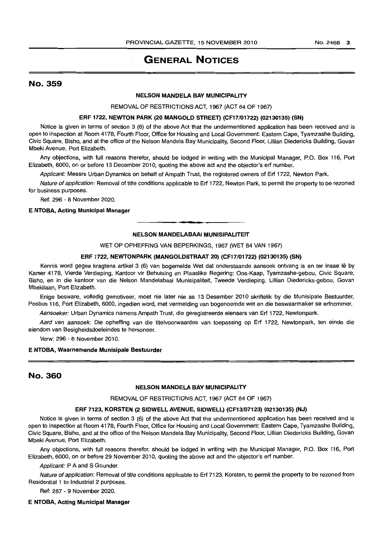# **GENERAL NOTICES**

## No. 359

## NELSON MANDELA BAY MUNICIPALITY

REMOVAL OF RESTRICTIONS ACT, 1967 (ACT 84 OF 1967)

## ERF 1722, NEWTON PARK (20 MANGOLD STREET) (CF17/01722) (02130135) (SN)

Notice is given in terms of section 3 (6) of the above Act that the undermentioned application has been received and is open to inspection at Room 4178, Fourth Floor, Office for Housing and Local Government: Eastern Cape, Tyamzashe Building, Civic Square, Bisho, and at the office of the Nelson Mandela Bay Municipality, Second Floor, Lillian Diedericks Building, Govan Mbeki Avenue, Port Elizabeth.

Any objections, with full reasons therefor, should be lodged in writing with the Municipal Manager, P.O. Box 116, Port Elizabeth, 6000, on or before 13 December 2010, quoting the above act and the objector's erf number.

Applicant: Messrs Urban Dynamics on behalf of Ampath Trust, the registered owners of Erf 1722, Newton Park.

Nature of application: Removal of title conditions applicable to Erf 1722, Newton Park, to permit the property to be rezoned for business purposes.

Ref: 296 - 8 November 2020.

#### E NTOBA, Acting Municipal Manager

#### NELSON MANDELABAAI MUNISIPALITEIT

. **- .** 

WET OP OPHEFFING VAN BEPERKINGS, 1967 (WET 84 VAN 1967)

## ERF 1722, NEWTONPARK (MANGOLDSTRAAT 20) (CF17/01722) (02130135) (SN)

Kennis word gegee kragtens artikel 3 (6) van bogemelde Wet dat onderstaande aansoek ontvang is en ter insae lê by Kamer 4178, Vierde Verdieping, Kantoor vir Behuising en Plaaslike Regering: Oos-Kaap, Tyamzashe-gebou, Civic Square, Bisho, en in die kantoor van die Nelson Mandelabaai Munisipaliteit, Tweede Verdieping, Lillian Diedericks-gebou, Govan Mbekilaan, Port Elizabeth.

Enige besware, volledig gemotiveer, moet nie later nie as 13 Desember 2010 skriftelik by die Munisipale Bestuurder, Posbus 116, Port Elizabeth, 6000, ingedien word, met vermelding van bogenoemde wet en die beswaarmaker se erfnommer.

Aansoeker: Urban Dynamics namens Ampath Trust, die geregistreerde eienaars van Erf 1722, Newtonpark.

Aard van aansoek: Die opheffing van die titelvoorwaardes van toepassing op Erf 1722, Newtonpark, ten einde die eiendom van Besigheidsdoeleindes te hersoneer.

Verw: 296 • 8 November 2010.

#### E NTOBA, Waarnemende Munisipale Bestuurder

# No. 360

## NELSON MANDELA BAY MUNICIPALITY

REMOVAL OF RESTRICTIONS ACT, 1967 (ACT 84 OF 1967)

#### ERF 7123, KORSTEN (2 SIDWELL AVENUE, SIDWELL) (CF13/07123) (02130135) (NJ)

Notice is given in terms of section 3 (6) of the above Act that the undermentioned application has been received and is open to inspection at Room 4178, Fourth Floor, Office for Housing and Local Government: Eastern Cape, Tyamzashe Building, Civic Square, Bisho, and at the office of the Nelson Mandela Bay Municipality, Second Floor, Lillian Diedericks Building, Govan Mbeki Avenue, Port Elizabeth.

Any objections, with full reasons therefor, should be lodged in writing with the Municipal Manager, P.O. Box 116, Port Elizabeth, 6000, on or before 29 November 2010, quoting the above act and the objector's erf number.

Applicant: P A and S Gounder.

Nature of application: Removal of title conditions applicable to Erf 7123, Korsten, to permit the property to be rezoned from Residential 1 to Industrial 2 purposes.

Ref: 287 - 9 November 2020.

## E NTOBA, Acting Municipal Manager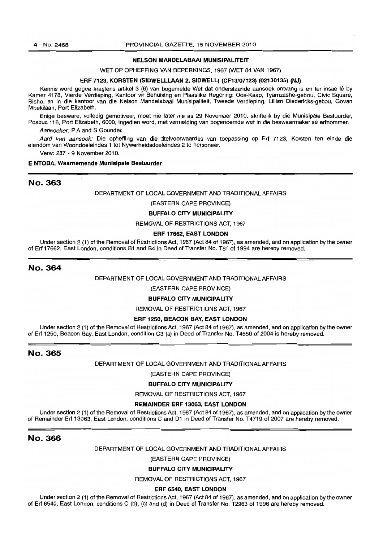#### 4 No.2468 PROVINCIAL GAZETIE, 15 NOVEMBER 2010

## NELSON MANDELABAAI MUNISIPALITEIT

WET OP OPHEFFING VAN BEPERKINGS, 1967 (WET 84 VAN 1967)

## ERF 7123, KORSTEN (SIDWELLLAAN 2, SIDWELL) (CF13/07123) (02130135) (NJ)

Kennis word gegee kragtens artikel 3 (6) van bogemelde Wet dat onderstaande aansoek ontvang is en ter insae lê by Kamer 4178, Vierde Verdieping, Kantoor vir Behuising en Plaaslike Regering: Oos-Kaap, Tyamzashe-gebou, Civic Square, Bisho, en in die kantoor van die Nelson Mandelabaai Munisipaliteit, Tweede Verdieping, Lillian Diedericks-gebou, Govan Mbekilaan, Port Elizabeth.

Enige besware, volledig gemotiveer. moet nie later nie as 29 November 2010, skriftelik by die Munisipale Bestuurder, Posbus 116, Port Elizabeth, 6000, ingedien word, met vermelding van bogenoemde wet in die beswaarmaker se erfnommer.

Aansoeker: P A and S Gounder.

Aard van aansoek: Die opheffing van die titelvoorwaardes van toepassing op Erf 7123, Korsten ten einde die eiendom van Woondoeleindes 1 tot Nywerheidsdoeleindes 2 te hersoneer.

Verw: 287 - 9 November 2010.

## E NTOBA, Waarnemende Munisipale Bestuurder

## No. 363

## DEPARTMENT OF LOCAL GOVERNMENT AND TRADITIONAL AFFAIRS

## (EASTERN CAPE PROVINCE)

## BUFFALO CITY MUNICIPALITY

## REMOVAL OF RESTRICTIONS ACT, 1967

## ERF 17662, EAST LONDON

Under section 2 (1) of the Removal of Restrictions Act, 1967 (Act 84 of 1967), as amended, and on application by the owner of Erf 17662, East London, conditions B1 and B4 in Deed of Transfer No. T81 of 1994 are hereby removed.

## No. 364

#### DEPARTMENT OF LOCAL GOVERNMENT AND TRADITIONALAFFAIRS

(EASTERN CAPE PROVINCE)

## BUFFALO CITY MUNICIPALITY

REMOVAL OF RESTRICTIONS ACT, 1967

#### ERF 1250, BEACON BAY, EAST LONDON

Under section 2 (1) of the Removal of Restrictions Act, 1967 (Act 84 of 1967), as amended, and on application by the owner of Erf 1250, Beacon Bay, East London, condition C3 (a) in Deed of Transfer No. T 4550 of 2004 is hereby removed.

## No. 365

DEPARTMENT OF LOCAL GOVERNMENT AND TRADITIONAL AFFAIRS

(EASTERN CAPE PROVINCE)

#### BUFFALO CITY MUNICIPALITY

REMOVAL OF RESTRICTIONS ACT, 1967

## REMAINDER ERF 13063, EAST LONDON

Under section 2 (1) of the Removal of Restrictions Act, 1967 (Act 84 of 1967), as amended, and on application by the owner of Remainder Erf 13063, East London, conditions C and D1 in Deed of Transfer No. T 4719 of 2007 are hereby removed.

## No. 366

#### DEPARTMENT OF LOCAL GOVERNMENT AND TRADITIONAL AFFAIRS

(EASTERN CAPE PROVINCE)

## BUFFALO CITY MUNICIPALITY

REMOVAL OF RESTRICTIONS ACT, 1967

## ERF 6540, EAST LONDON

Under section 2 (1) of the Removal of Restrictions Act, 1967 (Act 84 of 1967), as amended, and on application by the owner of Erf 6540, East London, conditions C (b), (c) and (d) in Deed of Transfer No. T2963 of 1996 are hereby removed.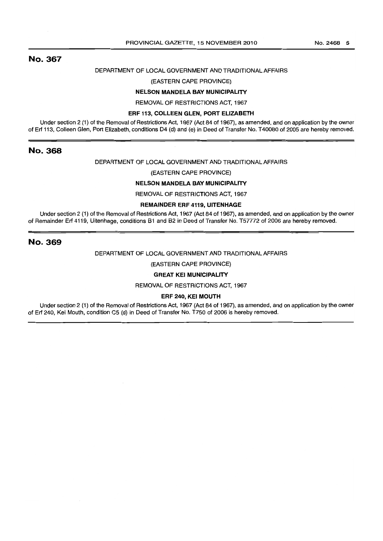#### No.2468 5

# No. 367

## DEPARTMENT OF LOCAL GOVERNMENT AND TRADITIONAL AFFAIRS

## (EASTERN CAPE PROVINCE)

## NELSON MANDELA BAY MUNICIPALITY

REMOVAL OF RESTRICTIONS ACT. 1967

#### ERF 113, COLLEEN GLEN, PORT ELIZABETH

Under section 2 (1) of the Removal of Restrictions Act, 1967 (Act 84 of 1967). as amended. and on application by the owner of Erf 113, Colleen Glen, Port Elizabeth, conditions D4 (d) and (e) in Deed of Transfer No. T40080 of 2005 are hereby removed.

## No. 368

## DEPARTMENT OF LOCAL GOVERNMENT AND TRADITIONAL AFFAIRS

## (EASTERN CAPE PROVINCE)

## NELSON MANDELA BAY MUNICIPALITY

REMOVAL OF RESTRICTIONS ACT. 1967

## REMAINDER ERF 4119, UITENHAGE

Under section 2 (1) of the Removal of Restrictions Act, 1967 (Act 84 of 1967), as amended, and on application by the owner of Remainder Erf 4119, Uitenhage, conditions B1 and B2 in Deed of Transfer No. T57772 of 2006 are hereby removed.

## No. 369

## DEPARTMENT OF LOCAL GOVERNMENT AND TRADITIONAL AFFAIRS

(EASTERN CAPE PROVINCE)

## GREAT KEI MUNICIPALITY

REMOVAL OF RESTRICTIONS ACT, 1967

### ERF 240, KEI MOUTH

Under section 2 (1) of the Removal of Restrictions Act. 1967 (Act 84 of 1967). as amended, and on application by the owner of Erf 240. Kei Mouth. condition C5 (d) in Deed of Transfer No. T750 of 2006 is hereby removed.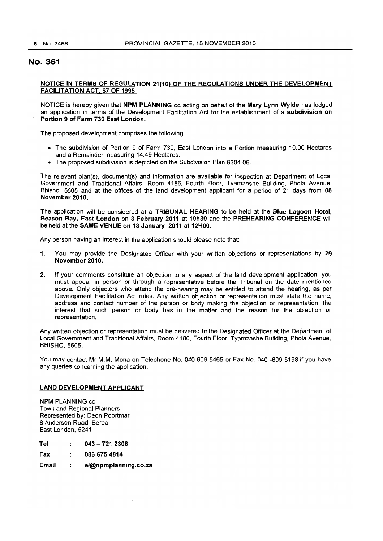## No. 361

## NOTICE IN TERMS OF REGULATION 21(10) OF THE REGULATIONS UNDER THE DEVELOPMENT FACILITATION ACT, 67 OF 1995

NOTICE is hereby given that NPM PLANNING cc acting on behalf of the Mary Lynn Wylde has lodged an application in terms of the Development Facilitation Act for the establishment of a subdivision on Portion 9 of Farm 730 East London.

The proposed development comprises the following:

- The subdivision of Portion 9 of Farm 730, East London into a Portion measuring 10.00 Hectares and a Remainder measuring 14.49 Hectares.
- The proposed subdivision is depicted on the Subdivision Plan 6304.06.

The relevant plan(s), document(s) and information are available for inspection at Department of Local Government and Traditional Affairs, Room 4186, Fourth Floor, Tyamzashe Building, Phola Avenue, Bhisho, 5605 and at the offices of the land development applicant for a period of 21 days from 08 November 2010.

The application will be considered at a TRIBUNAL HEARING to be held at the Blue Lagoon Hotel, Beacon Bay; East London on 3 February 2011 at 10h30 and the PREHEARING CONFERENCE will be held at the SAME VENUE on 13 January 2011 at 12HOO.

Any person having an interest in the application should please note that:

- 1. You may provide the Designated Officer with your written objections or representations by 29 November 2010.
- 2. If your comments constitute an objection to any aspect of the land development application, you must appear in person or through a representative before the Tribunal on the date mentioned above. Only objectors who attend the pre-hearing may be entitled to attend the hearing, as per Development Facilitation Act rules. Any written objection or representation must state the name, address and contact number of the person or body making the objection or representation, the interest that such person or body has in the matter and the reason for the objection or representation.

Any written objection or representation must be delivered to the Designated Officer at the Department of Local Government and Traditional Affairs, Room 4186, Fourth Floor, Tyamzashe Building, Phola Avenue, BHISHO, 5605.

You may contact Mr M.M. Mona on Telephone No. 0406095465 or Fax No. 040 -609 5198 if you have any queries concerning the application.

## LAND DEVELOPMENT APPLICANT

NPM PLANNING cc Town and Regional Planners Represented by: Dean Poortman 8 Anderson Road, Berea, East London, 5241

Tel 043 - 721 2306

Fax  $\ddot{\cdot}$ 0866754814

Email  $\ddot{\phantom{a}}$ el@npmplanning.co.za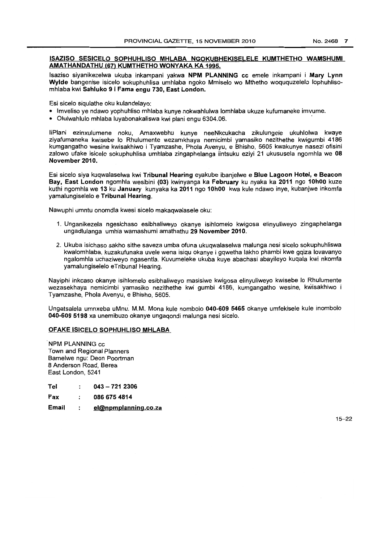## ISAZISO SESICELO SOPHUHLISO MHLABA NGOKUBHEKISELELE KUMTHETHO WAMSHUMI AMATHANDATHU (67) KUMTHETHO WONYAKA KA 1995.

Isaziso siyanikezelwa ukuba inkampani yakwa NPM PLANNING cc emele inkampani i Mary Lynn Wylde bangenise isicelo sokuphuhlisa umhlaba ngoko Mmiselo wo Mthetho woququzelelo lophuhlisomhlaba kwi Sahluko 9 i Fama engu 730, East London.

Esi sicelo siqulathe oku kulandelayo:

- Imveliso ye ndawo yophuhliso mhlaba kunye nokwahlulwa lomhlaba ukuze kufumaneke imvume.
- Olulwahlulo mhlaba luyabonakaliswa kwi plani engu 6304.06. .

liPlani ezinxulumene noku, Amaxwebhu kunye neeNkcukacha zikulungele ukuhlolwa kwaye ziyafumaneka kwisebe 10 Rhulumente wezamkhaya nemicimbi yamasiko nezithethe kwigumbi 4186 kumgangatho wesine kwisakhiwo i Tyamzashe, Phola Avenyu, e Bhisho, 5605 kwakunye nasezi ofisini zalowo ufake isicelo sokuphuhlisa umhlaba zingaphelanga iintsuku eziyi 21 ukususela ngomhla we 08 November 2010.

Esi sicelo siya kuqwalaselwa kwi Tribunal Hearing eyakube ibanjelwe e Blue Lagoon Hotel, e Beacon Bay, East London ngomhla wesibini (03) kwinyanga ka February ku nyaka ka 2011 ngo 10hOO kuze kuthi ngomhla we 13 ku January kunyaka ka 2011 ngo 10h00 kwa kule ndawo inye, kubanjwe inkomfa yamalungiselelo e Tribunal Hearing.

Nawuphi umntu onomdla kwesi sicelo makaqwalasele oku:

- 1. Unganikezela ngesichaso esibhaliweyo okanye isihlomelo kwigosa elinyuliweyo zingaphelanga ungadlulanga umhla wamashumi amathathu 29 November 2010.
- 2. Ukuba isichaso sakho sithe saveza umba ofuna ukuqwalaselwa malunga nesi sicelo sokuphuhliswa kwalomhlaba, kuzakufunaka uvele wena isiqu okanye i gqwetha lakho phambi kwe gqiza lovavanyo ngalomhla uchaziweyo ngasentla. Kuvumeleke ukuba kuye abachasi abayileyo kuqala kwi nkomfa yamalungiselelo eTribunal Hearing.

Nayiphi inkcaso okanye isihlomelo esibhaliweyo masisiwe kwigosa elinyuliweyo kwisebe 10 Rhulumente wezasekhaya nemicimbi yamasiko nezithethe kwi gumbi 4186. kumgangatho wesine. kWisakhiwo i Tyamzashe, Phola Avenyu, e Bhisho, 5605.

Ungatsalela umnxeba uMnu. M.M. Mona kule nombolo 040-609 5465 okanye umfekisele kule inombolo 040-609 5198 xa unemibuzo okanye ungaqondi malunga nesi sicelo.

## OFAKE ISICELO SOPHUHLlSO MHLABA\_

. NPM PLANNING cc Town and Regional Planners Bamelwe ngu: Deon Poortman 8 Anderson Road, Berea East London, 5241

| Tel | $043 - 7212306$ |  |
|-----|-----------------|--|
|     |                 |  |

- Fax 0866754814
- Email el@npmplanning.co.za  $\cdot$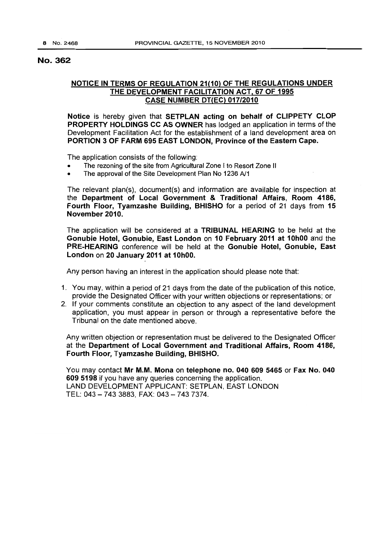# No. 362

# **NOTICE IN TERMS OF REGULATION 21(10) OF THE REGULATIONS UNDER THE DEVELOPMENT FACILITATION ACT, 67 OF 1995 CASE NUMBER DT(EC) 017/2010**

**Notice** is hereby given that **SETPLAN acting on behalf of CLiPPETY CLOP PROPERTY HOLDINGS CC AS OWNER** has lodged an application in terms of the Development Facilitation Act for the establishment of a land development area on **PORTION 3 OF FARM 695 EAST LONDON, Province** of the **Eastern Cape.** 

The application consists of the following:

- The rezoning of the site from Agricultural Zone I to Resort Zone II
- The approval of the Site Development Plan No 1236 A/1

The relevant plan(s). document(s) and information are available for inspection at the **Department of Local Government & Traditional Affairs, Room 4186, Fourth Floor, Tyamzashe Building, BHISHO** for a period of 21 days from **15 November 2010.** 

The application will be considered at **a TRIBUNAL HEARING** to be held at the **Gonubie Hotel, Gonubie, East London on 10 February 2011 at 10hOO** and the **PRE-HEARING** conference will be held at the **Gonubie Hotel, Gonubie, East London on 20 January 2011 at 10hOO.** 

Any person having an interest in the application should please note that:

- 1. You may. within a period of 21 days from the date of the publication of this notice. provide the DeSignated Officer with your written objections or representations; or
- 2. If your comments constitute an objection to any aspect of the land development application. you must appear in person or through a representative before the Tribunal on the date mentioned above.

Any written objection or representation must be delivered to the Designated Officer at the **Department of Local Government and Traditional Affairs, Room 4186, Fourth Floor, Tyamzashe Building, BHISHO.** 

You may contact **Mr M.M. Mona on telephone no. 040609 5465 or Fax No. 040 6095198** if you have any queries concerning the application. LAND DEVELOPMENT APPLICANT: SETPLAN, EAST LONDON TEL: 043 - 743 3883, FAX: 043 - 743 7374.